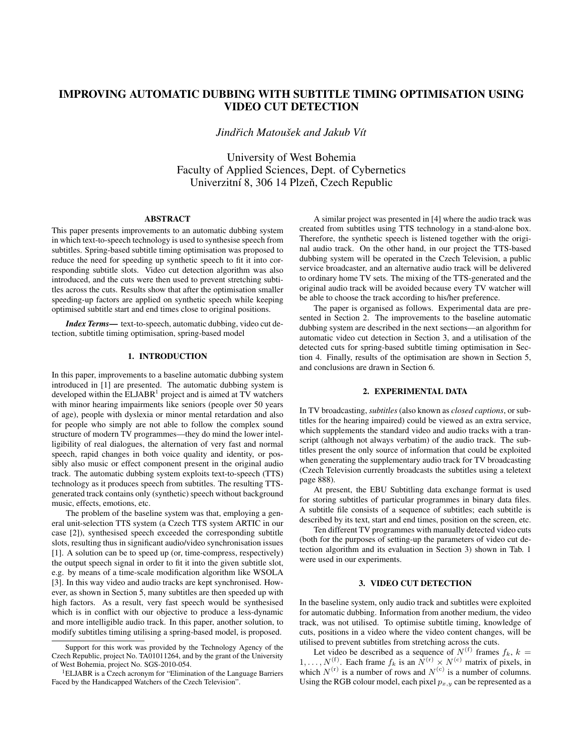# IMPROVING AUTOMATIC DUBBING WITH SUBTITLE TIMING OPTIMISATION USING VIDEO CUT DETECTION

*Jindřich Matoušek and Jakub Vít* 

University of West Bohemia Faculty of Applied Sciences, Dept. of Cybernetics Univerzitní 8, 306 14 Plzeň, Czech Republic

## ABSTRACT

This paper presents improvements to an automatic dubbing system in which text-to-speech technology is used to synthesise speech from subtitles. Spring-based subtitle timing optimisation was proposed to reduce the need for speeding up synthetic speech to fit it into corresponding subtitle slots. Video cut detection algorithm was also introduced, and the cuts were then used to prevent stretching subtitles across the cuts. Results show that after the optimisation smaller speeding-up factors are applied on synthetic speech while keeping optimised subtitle start and end times close to original positions.

*Index Terms*— text-to-speech, automatic dubbing, video cut detection, subtitle timing optimisation, spring-based model

# 1. INTRODUCTION

In this paper, improvements to a baseline automatic dubbing system introduced in [1] are presented. The automatic dubbing system is developed within the  $ELJABR<sup>1</sup>$  project and is aimed at TV watchers with minor hearing impairments like seniors (people over 50 years of age), people with dyslexia or minor mental retardation and also for people who simply are not able to follow the complex sound structure of modern TV programmes—they do mind the lower intelligibility of real dialogues, the alternation of very fast and normal speech, rapid changes in both voice quality and identity, or possibly also music or effect component present in the original audio track. The automatic dubbing system exploits text-to-speech (TTS) technology as it produces speech from subtitles. The resulting TTSgenerated track contains only (synthetic) speech without background music, effects, emotions, etc.

The problem of the baseline system was that, employing a general unit-selection TTS system (a Czech TTS system ARTIC in our case [2]), synthesised speech exceeded the corresponding subtitle slots, resulting thus in significant audio/video synchronisation issues [1]. A solution can be to speed up (or, time-compress, respectively) the output speech signal in order to fit it into the given subtitle slot, e.g. by means of a time-scale modification algorithm like WSOLA [3]. In this way video and audio tracks are kept synchronised. However, as shown in Section 5, many subtitles are then speeded up with high factors. As a result, very fast speech would be synthesised which is in conflict with our objective to produce a less-dynamic and more intelligible audio track. In this paper, another solution, to modify subtitles timing utilising a spring-based model, is proposed.

A similar project was presented in [4] where the audio track was created from subtitles using TTS technology in a stand-alone box. Therefore, the synthetic speech is listened together with the original audio track. On the other hand, in our project the TTS-based dubbing system will be operated in the Czech Television, a public service broadcaster, and an alternative audio track will be delivered to ordinary home TV sets. The mixing of the TTS-generated and the original audio track will be avoided because every TV watcher will be able to choose the track according to his/her preference.

The paper is organised as follows. Experimental data are presented in Section 2. The improvements to the baseline automatic dubbing system are described in the next sections—an algorithm for automatic video cut detection in Section 3, and a utilisation of the detected cuts for spring-based subtitle timing optimisation in Section 4. Finally, results of the optimisation are shown in Section 5, and conclusions are drawn in Section 6.

# 2. EXPERIMENTAL DATA

In TV broadcasting, *subtitles* (also known as *closed captions*, or subtitles for the hearing impaired) could be viewed as an extra service, which supplements the standard video and audio tracks with a transcript (although not always verbatim) of the audio track. The subtitles present the only source of information that could be exploited when generating the supplementary audio track for TV broadcasting (Czech Television currently broadcasts the subtitles using a teletext page 888).

At present, the EBU Subtitling data exchange format is used for storing subtitles of particular programmes in binary data files. A subtitle file consists of a sequence of subtitles; each subtitle is described by its text, start and end times, position on the screen, etc.

Ten different TV programmes with manually detected video cuts (both for the purposes of setting-up the parameters of video cut detection algorithm and its evaluation in Section 3) shown in Tab. 1 were used in our experiments.

#### 3. VIDEO CUT DETECTION

In the baseline system, only audio track and subtitles were exploited for automatic dubbing. Information from another medium, the video track, was not utilised. To optimise subtitle timing, knowledge of cuts, positions in a video where the video content changes, will be utilised to prevent subtitles from stretching across the cuts.

Let video be described as a sequence of  $N^{(f)}$  frames  $f_k$ ,  $k =$  $1, \ldots, N^{(f)}$ . Each frame  $f_k$  is an  $\overline{N}^{(r)} \times N^{(c)}$  matrix of pixels, in which  $N^{(r)}$  is a number of rows and  $N^{(c)}$  is a number of columns. Using the RGB colour model, each pixel  $p_{x,y}$  can be represented as a

Support for this work was provided by the Technology Agency of the Czech Republic, project No. TA01011264, and by the grant of the University of West Bohemia, project No. SGS-2010-054.

<sup>1</sup>ELJABR is a Czech acronym for "Elimination of the Language Barriers Faced by the Handicapped Watchers of the Czech Television".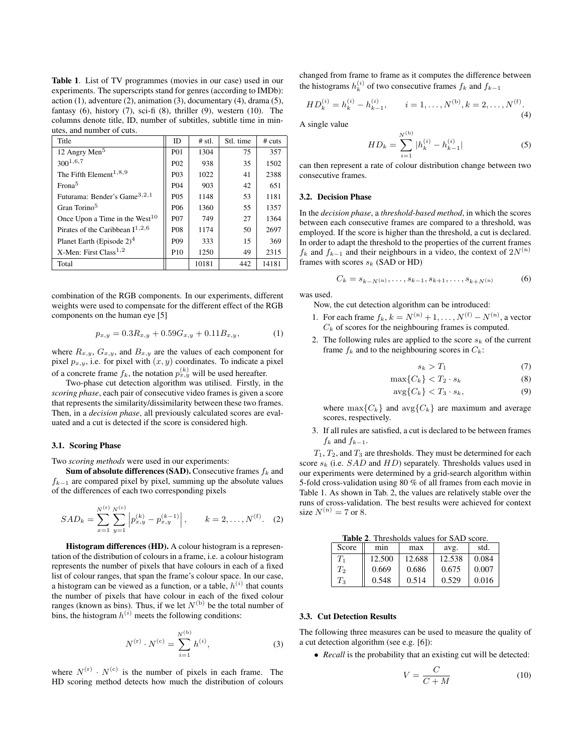Table 1. List of TV programmes (movies in our case) used in our experiments. The superscripts stand for genres (according to IMDb): action  $(1)$ , adventure  $(2)$ , animation  $(3)$ , documentary  $(4)$ , drama  $(5)$ , fantasy  $(6)$ , history  $(7)$ , sci-fi  $(8)$ , thriller  $(9)$ , western  $(10)$ . The columns denote title, ID, number of subtitles, subtitle time in minutes, and number of cuts.

| Title                                    | <b>ID</b>        | $#$ stl. | Stl. time | # cuts |
|------------------------------------------|------------------|----------|-----------|--------|
| 12 Angry Men <sup>5</sup>                | <b>P01</b>       | 1304     | 75        | 357    |
| $300^{1,6,7}$                            | P <sub>02</sub>  | 938      | 35        | 1502   |
| The Fifth Element <sup>1,8,9</sup>       | P <sub>0</sub> 3 | 1022     | 41        | 2388   |
| Frona <sup>5</sup>                       | P <sub>04</sub>  | 903      | 42        | 651    |
| Futurama: Bender's Game <sup>3,2,1</sup> | P <sub>05</sub>  | 1148     | 53        | 1181   |
| Gran Torino <sup>5</sup>                 | P <sub>06</sub>  | 1360     | 55        | 1357   |
| Once Upon a Time in the West $10$        | <b>P07</b>       | 749      | 27        | 1364   |
| Pirates of the Caribbean $I^{1,2,6}$     | <b>P08</b>       | 1174     | 50        | 2697   |
| Planet Earth (Episode $2)^4$             | P <sub>09</sub>  | 333      | 15        | 369    |
| X-Men: First Class <sup>1,2</sup>        | P <sub>10</sub>  | 1250     | 49        | 2315   |
| Total                                    |                  | 10181    | 442       | 14181  |

combination of the RGB components. In our experiments, different weights were used to compensate for the different effect of the RGB components on the human eye [5]

$$
p_{x,y} = 0.3R_{x,y} + 0.59G_{x,y} + 0.11B_{x,y}, \tag{1}
$$

where  $R_{x,y}$ ,  $G_{x,y}$ , and  $B_{x,y}$  are the values of each component for pixel  $p_{x,y}$ , i.e. for pixel with  $(x, y)$  coordinates. To indicate a pixel of a concrete frame  $f_k$ , the notation  $p_{x,y}^{(k)}$  will be used hereafter.

Two-phase cut detection algorithm was utilised. Firstly, in the *scoring phase*, each pair of consecutive video frames is given a score that represents the similarity/dissimilarity between these two frames. Then, in a *decision phase*, all previously calculated scores are evaluated and a cut is detected if the score is considered high.

#### 3.1. Scoring Phase

Two *scoring methods* were used in our experiments:

Sum of absolute differences (SAD). Consecutive frames  $f_k$  and  $f_{k-1}$  are compared pixel by pixel, summing up the absolute values of the differences of each two corresponding pixels

$$
SAD_k = \sum_{x=1}^{N^{(r)}} \sum_{y=1}^{N^{(c)}} \left| p_{x,y}^{(k)} - p_{x,y}^{(k-1)} \right|, \qquad k = 2, \dots, N^{(f)}. \quad (2)
$$

Histogram differences (HD). A colour histogram is a representation of the distribution of colours in a frame, i.e. a colour histogram represents the number of pixels that have colours in each of a fixed list of colour ranges, that span the frame's colour space. In our case, a histogram can be viewed as a function, or a table,  $h^{(i)}$  that counts the number of pixels that have colour in each of the fixed colour ranges (known as bins). Thus, if we let  $N^{(b)}$  be the total number of bins, the histogram  $h^{(i)}$  meets the following conditions:

$$
N^{(r)} \cdot N^{(c)} = \sum_{i=1}^{N^{(b)}} h^{(i)}, \tag{3}
$$

where  $N^{(r)} \cdot N^{(c)}$  is the number of pixels in each frame. The HD scoring method detects how much the distribution of colours

changed from frame to frame as it computes the difference between the histograms  $h_k^{(i)}$  of two consecutive frames  $f_k$  and  $f_{k-1}$ 

$$
HD_k^{(i)} = h_k^{(i)} - h_{k-1}^{(i)}, \qquad i = 1, \dots, N^{(b)}, k = 2, \dots, N^{(f)}.
$$
\n(4)

A single value

$$
HD_k = \sum_{i=1}^{N^{(b)}} |h_k^{(i)} - h_{k-1}^{(i)}|
$$
 (5)

can then represent a rate of colour distribution change between two consecutive frames.

## 3.2. Decision Phase

In the *decision phase*, a *threshold-based method*, in which the scores between each consecutive frames are compared to a threshold, was employed. If the score is higher than the threshold, a cut is declared. In order to adapt the threshold to the properties of the current frames  $f_k$  and  $f_{k-1}$  and their neighbours in a video, the context of  $2N^{(n)}$ frames with scores  $s_k$  (SAD or HD)

$$
C_k = s_{k-N^{(n)}}, \dots, s_{k-1}, s_{k+1}, \dots, s_{k+N^{(n)}} \tag{6}
$$

was used.

Now, the cut detection algorithm can be introduced:

- 1. For each frame  $f_k$ ,  $k = N^{(n)} + 1, ..., N^{(f)} N^{(n)}$ , a vector  $C_k$  of scores for the neighbouring frames is computed.
- 2. The following rules are applied to the score  $s_k$  of the current frame  $f_k$  and to the neighbouring scores in  $C_k$ :

$$
s_k > T_1 \tag{7}
$$

$$
\max\{C_k\} < T_2 \cdot s_k \tag{8}
$$

$$
\arg\{C_k\} < T_3 \cdot s_k,\tag{9}
$$

where  $\max\{C_k\}$  and  $\max\{C_k\}$  are maximum and average scores, respectively.

3. If all rules are satisfied, a cut is declared to be between frames  $f_k$  and  $f_{k-1}$ .

 $T_1, T_2,$  and  $T_3$  are thresholds. They must be determined for each score  $s_k$  (i.e.  $SAD$  and  $HD$ ) separately. Thresholds values used in our experiments were determined by a grid-search algorithm within 5-fold cross-validation using 80 % of all frames from each movie in Table 1. As shown in Tab. 2, the values are relatively stable over the runs of cross-validation. The best results were achieved for context size  $N^{(n)} = 7$  or 8.

Table 2. Thresholds values for SAD score.

| Score | mnn    | max    | avg.   | std.  |
|-------|--------|--------|--------|-------|
| Tı    | 12.500 | 12.688 | 12.538 | 0.084 |
| $T_2$ | 0.669  | 0.686  | 0.675  | 0.007 |
| $T_3$ | 0.548  | 0.514  | 0.529  | 0.016 |

#### 3.3. Cut Detection Results

The following three measures can be used to measure the quality of a cut detection algorithm (see e.g. [6]):

• *Recall* is the probability that an existing cut will be detected:

$$
V = \frac{C}{C+M} \tag{10}
$$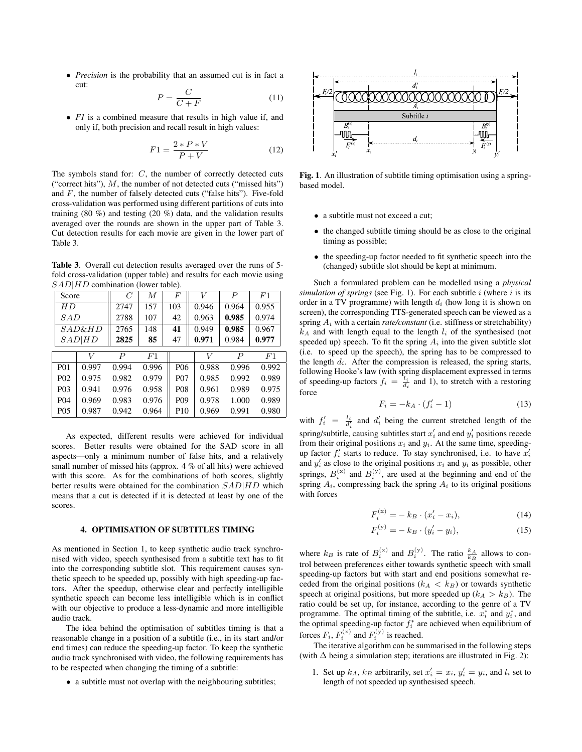• *Precision* is the probability that an assumed cut is in fact a cut:

$$
P = \frac{C}{C + F} \tag{11}
$$

• *F1* is a combined measure that results in high value if, and only if, both precision and recall result in high values:

$$
F1 = \frac{2 \cdot P \cdot V}{P + V} \tag{12}
$$

The symbols stand for: C, the number of correctly detected cuts ("correct hits"),  $M$ , the number of not detected cuts ("missed hits") and  $F$ , the number of falsely detected cuts ("false hits"). Five-fold cross-validation was performed using different partitions of cuts into training (80 %) and testing (20 %) data, and the validation results averaged over the rounds are shown in the upper part of Table 3. Cut detection results for each movie are given in the lower part of Table 3.

Table 3. Overall cut detection results averaged over the runs of 5 fold cross-validation (upper table) and results for each movie using  $SAD|HD$  combination (lower table).

| Score            |                   | $\mathcal{C}$ | M     | F               | V     | $\boldsymbol{P}$ | F1    |
|------------------|-------------------|---------------|-------|-----------------|-------|------------------|-------|
| HD               |                   | 2747          | 157   | 103             | 0.946 | 0.964            | 0.955 |
| SAD              |                   | 2788          | 107   | 42              | 0.963 | 0.985            | 0.974 |
|                  | <i>SAD&amp;HD</i> | 2765          | 148   | 41              | 0.949 | 0.985            | 0.967 |
|                  | SAD HD            | 2825          | 85    | 47              | 0.971 | 0.984            | 0.977 |
|                  | V                 | P             | F1    |                 | V     | $\boldsymbol{P}$ | F1    |
| <b>P01</b>       | 0.997             | 0.994         | 0.996 | P <sub>06</sub> | 0.988 | 0.996            | 0.992 |
| P <sub>0</sub> 2 | 0.975             | 0.982         | 0.979 | P <sub>07</sub> | 0.985 | 0.992            | 0.989 |
| P <sub>0</sub> 3 | 0.941             | 0.976         | 0.958 | <b>P08</b>      | 0.961 | 0.989            | 0.975 |
| P <sub>04</sub>  | 0.969             | 0.983         | 0.976 | P <sub>09</sub> | 0.978 | 1.000            | 0.989 |
| P <sub>05</sub>  | 0.987             | 0.942         | 0.964 | P <sub>10</sub> | 0.969 | 0.991            | 0.980 |

As expected, different results were achieved for individual scores. Better results were obtained for the SAD score in all aspects—only a minimum number of false hits, and a relatively small number of missed hits (approx. 4 % of all hits) were achieved with this score. As for the combinations of both scores, slightly better results were obtained for the combination  $SAD|HD$  which means that a cut is detected if it is detected at least by one of the scores.

## 4. OPTIMISATION OF SUBTITLES TIMING

As mentioned in Section 1, to keep synthetic audio track synchronised with video, speech synthesised from a subtitle text has to fit into the corresponding subtitle slot. This requirement causes synthetic speech to be speeded up, possibly with high speeding-up factors. After the speedup, otherwise clear and perfectly intelligible synthetic speech can become less intelligible which is in conflict with our objective to produce a less-dynamic and more intelligible audio track.

The idea behind the optimisation of subtitles timing is that a reasonable change in a position of a subtitle (i.e., in its start and/or end times) can reduce the speeding-up factor. To keep the synthetic audio track synchronised with video, the following requirements has to be respected when changing the timing of a subtitle:

• a subtitle must not overlap with the neighbouring subtitles;



Fig. 1. An illustration of subtitle timing optimisation using a springbased model.

- a subtitle must not exceed a cut;
- the changed subtitle timing should be as close to the original timing as possible;
- the speeding-up factor needed to fit synthetic speech into the (changed) subtitle slot should be kept at minimum.

Such a formulated problem can be modelled using a *physical simulation of springs* (see Fig. 1). For each subtitle i (where i is its order in a TV programme) with length  $d_i$  (how long it is shown on screen), the corresponding TTS-generated speech can be viewed as a spring  $A_i$  with a certain *rate/constant* (i.e. stiffness or stretchability)  $k_A$  and with length equal to the length  $l_i$  of the synthesised (not speeded up) speech. To fit the spring  $A_i$  into the given subtitle slot (i.e. to speed up the speech), the spring has to be compressed to the length  $d_i$ . After the compression is released, the spring starts, following Hooke's law (with spring displacement expressed in terms of speeding-up factors  $f_i = \frac{\overline{l_i}}{d_i}$  and 1), to stretch with a restoring force

$$
F_i = -k_A \cdot (f'_i - 1) \tag{13}
$$

with  $f'_i = \frac{l_i}{d'_i}$  and  $d'_i$  being the current stretched length of the spring/subtitle, causing subtitles start  $x'_i$  and end  $y'_i$  positions recede from their original positions  $x_i$  and  $y_i$ . At the same time, speedingup factor  $f'_i$  starts to reduce. To stay synchronised, i.e. to have  $x'_i$ and  $y_i'$  as close to the original positions  $x_i$  and  $y_i$  as possible, other springs,  $B_i^{(x)}$  and  $B_i^{(y)}$ , are used at the beginning and end of the spring  $A_i$ , compressing back the spring  $A_i$  to its original positions with forces

$$
F_i^{(x)} = -k_B \cdot (x_i' - x_i), \tag{14}
$$

$$
F_i^{(y)} = -k_B \cdot (y_i' - y_i), \tag{15}
$$

where  $k_B$  is rate of  $B_i^{(x)}$  and  $B_i^{(y)}$ . The ratio  $\frac{k_A}{k_B}$  allows to control between preferences either towards synthetic speech with small speeding-up factors but with start and end positions somewhat receded from the original positions  $(k_A < k_B)$  or towards synthetic speech at original positions, but more speeded up  $(k_A > k_B)$ . The ratio could be set up, for instance, according to the genre of a TV programme. The optimal timing of the subtitle, i.e.  $x_i^*$  and  $y_i^*$ , and the optimal speeding-up factor  $f_i^*$  are achieved when equilibrium of forces  $F_i$ ,  $F_i^{(x)}$  and  $F_i^{(y)}$  is reached.

The iterative algorithm can be summarised in the following steps (with  $\Delta$  being a simulation step; iterations are illustrated in Fig. 2):

1. Set up  $k_A$ ,  $k_B$  arbitrarily, set  $x'_i = x_i$ ,  $y'_i = y_i$ , and  $l_i$  set to length of not speeded up synthesised speech.